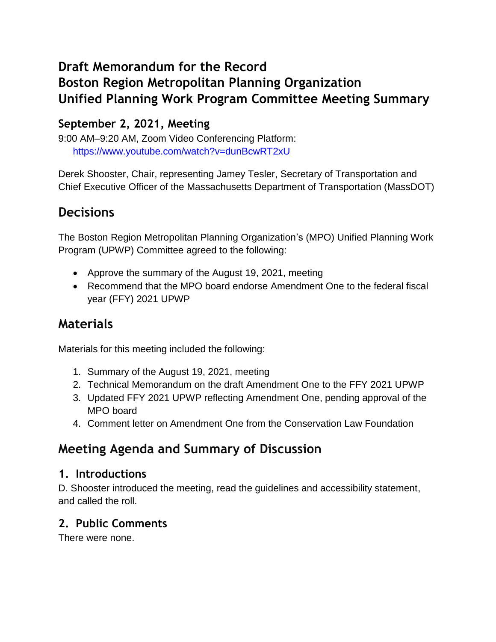# **Draft Memorandum for the Record Boston Region Metropolitan Planning Organization Unified Planning Work Program Committee Meeting Summary**

# **September 2, 2021, Meeting**

9:00 AM–9:20 AM, Zoom Video Conferencing Platform: <https://www.youtube.com/watch?v=dunBcwRT2xU>

Derek Shooster, Chair, representing Jamey Tesler, Secretary of Transportation and Chief Executive Officer of the Massachusetts Department of Transportation (MassDOT)

# **Decisions**

The Boston Region Metropolitan Planning Organization's (MPO) Unified Planning Work Program (UPWP) Committee agreed to the following:

- Approve the summary of the August 19, 2021, meeting
- Recommend that the MPO board endorse Amendment One to the federal fiscal year (FFY) 2021 UPWP

# **Materials**

Materials for this meeting included the following:

- 1. Summary of the August 19, 2021, meeting
- 2. Technical Memorandum on the draft Amendment One to the FFY 2021 UPWP
- 3. Updated FFY 2021 UPWP reflecting Amendment One, pending approval of the MPO board
- 4. Comment letter on Amendment One from the Conservation Law Foundation

# **Meeting Agenda and Summary of Discussion**

## **1. Introductions**

D. Shooster introduced the meeting, read the guidelines and accessibility statement, and called the roll.

# **2. Public Comments**

There were none.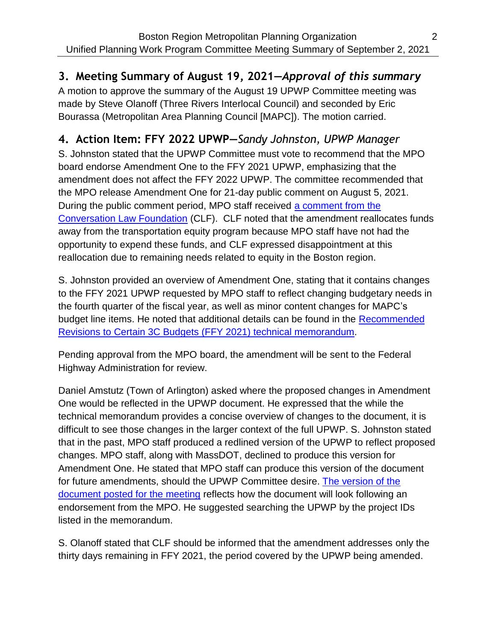# **3. Meeting Summary of August 19, 2021—***Approval of this summary*

A motion to approve the summary of the August 19 UPWP Committee meeting was made by Steve Olanoff (Three Rivers Interlocal Council) and seconded by Eric Bourassa (Metropolitan Area Planning Council [MAPC]). The motion carried.

# **4. Action Item: FFY 2022 UPWP—***Sandy Johnston, UPWP Manager*

S. Johnston stated that the UPWP Committee must vote to recommend that the MPO board endorse Amendment One to the FFY 2021 UPWP, emphasizing that the amendment does not affect the FFY 2022 UPWP. The committee recommended that the MPO release Amendment One for 21-day public comment on August 5, 2021. During the public comment period, MPO staff received [a comment from the](https://www.ctps.org/data/calendar/pdfs/2021/UPWP_0902_Draft_FFY21_Amendment_One_CLF_Comment_Letter.pdf)  [Conversation Law Foundation](https://www.ctps.org/data/calendar/pdfs/2021/UPWP_0902_Draft_FFY21_Amendment_One_CLF_Comment_Letter.pdf) (CLF). CLF noted that the amendment reallocates funds away from the transportation equity program because MPO staff have not had the opportunity to expend these funds, and CLF expressed disappointment at this reallocation due to remaining needs related to equity in the Boston region.

S. Johnston provided an overview of Amendment One, stating that it contains changes to the FFY 2021 UPWP requested by MPO staff to reflect changing budgetary needs in the fourth quarter of the fiscal year, as well as minor content changes for MAPC's budget line items. He noted that additional details can be found in the [Recommended](https://www.ctps.org/data/calendar/pdfs/2021/UPWP_0805_Memo_Draft_FFY21_UPWP_Amendment_One.pdf)  [Revisions to Certain 3C Budgets \(FFY 2021\) technical memorandum.](https://www.ctps.org/data/calendar/pdfs/2021/UPWP_0805_Memo_Draft_FFY21_UPWP_Amendment_One.pdf)

Pending approval from the MPO board, the amendment will be sent to the Federal Highway Administration for review.

Daniel Amstutz (Town of Arlington) asked where the proposed changes in Amendment One would be reflected in the UPWP document. He expressed that the while the technical memorandum provides a concise overview of changes to the document, it is difficult to see those changes in the larger context of the full UPWP. S. Johnston stated that in the past, MPO staff produced a redlined version of the UPWP to reflect proposed changes. MPO staff, along with MassDOT, declined to produce this version for Amendment One. He stated that MPO staff can produce this version of the document for future amendments, should the UPWP Committee desire. [The version of the](https://www.ctps.org/data/calendar/pdfs/2021/UPWP_0805_Draft_FFY21_UPWP_Amendment_One.pdf)  [document posted for the meeting](https://www.ctps.org/data/calendar/pdfs/2021/UPWP_0805_Draft_FFY21_UPWP_Amendment_One.pdf) reflects how the document will look following an endorsement from the MPO. He suggested searching the UPWP by the project IDs listed in the memorandum.

S. Olanoff stated that CLF should be informed that the amendment addresses only the thirty days remaining in FFY 2021, the period covered by the UPWP being amended.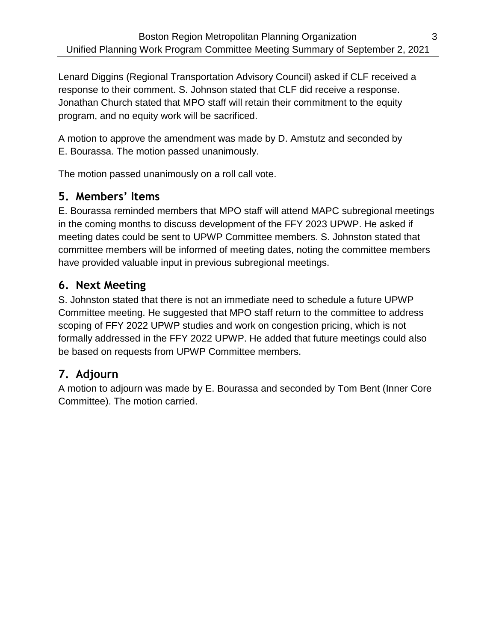Lenard Diggins (Regional Transportation Advisory Council) asked if CLF received a response to their comment. S. Johnson stated that CLF did receive a response. Jonathan Church stated that MPO staff will retain their commitment to the equity program, and no equity work will be sacrificed.

A motion to approve the amendment was made by D. Amstutz and seconded by E. Bourassa. The motion passed unanimously.

The motion passed unanimously on a roll call vote.

### **5. Members' Items**

E. Bourassa reminded members that MPO staff will attend MAPC subregional meetings in the coming months to discuss development of the FFY 2023 UPWP. He asked if meeting dates could be sent to UPWP Committee members. S. Johnston stated that committee members will be informed of meeting dates, noting the committee members have provided valuable input in previous subregional meetings.

### **6. Next Meeting**

S. Johnston stated that there is not an immediate need to schedule a future UPWP Committee meeting. He suggested that MPO staff return to the committee to address scoping of FFY 2022 UPWP studies and work on congestion pricing, which is not formally addressed in the FFY 2022 UPWP. He added that future meetings could also be based on requests from UPWP Committee members.

## **7. Adjourn**

A motion to adjourn was made by E. Bourassa and seconded by Tom Bent (Inner Core Committee). The motion carried.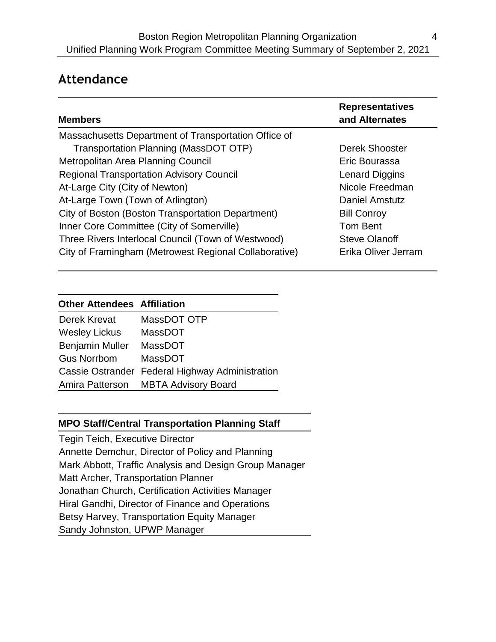# **Attendance**

| <b>Members</b>                                        | <b>Representatives</b><br>and Alternates |
|-------------------------------------------------------|------------------------------------------|
| Massachusetts Department of Transportation Office of  |                                          |
| Transportation Planning (MassDOT OTP)                 | Derek Shooster                           |
| Metropolitan Area Planning Council                    | Eric Bourassa                            |
| <b>Regional Transportation Advisory Council</b>       | Lenard Diggins                           |
| At-Large City (City of Newton)                        | Nicole Freedman                          |
| At-Large Town (Town of Arlington)                     | Daniel Amstutz                           |
| City of Boston (Boston Transportation Department)     | <b>Bill Conroy</b>                       |
| Inner Core Committee (City of Somerville)             | Tom Bent                                 |
| Three Rivers Interlocal Council (Town of Westwood)    | <b>Steve Olanoff</b>                     |
| City of Framingham (Metrowest Regional Collaborative) | Erika Oliver Jerram                      |

#### **Other Attendees Affiliation**

| Derek Krevat           | MassDOT OTP                                     |
|------------------------|-------------------------------------------------|
| <b>Wesley Lickus</b>   | MassDOT                                         |
| <b>Benjamin Muller</b> | <b>MassDOT</b>                                  |
| <b>Gus Norrbom</b>     | MassDOT                                         |
|                        | Cassie Ostrander Federal Highway Administration |
| Amira Patterson        | <b>MBTA Advisory Board</b>                      |

#### **MPO Staff/Central Transportation Planning Staff**

Tegin Teich, Executive Director Annette Demchur, Director of Policy and Planning Mark Abbott, Traffic Analysis and Design Group Manager Matt Archer, Transportation Planner Jonathan Church, Certification Activities Manager Hiral Gandhi, Director of Finance and Operations Betsy Harvey, Transportation Equity Manager Sandy Johnston, UPWP Manager